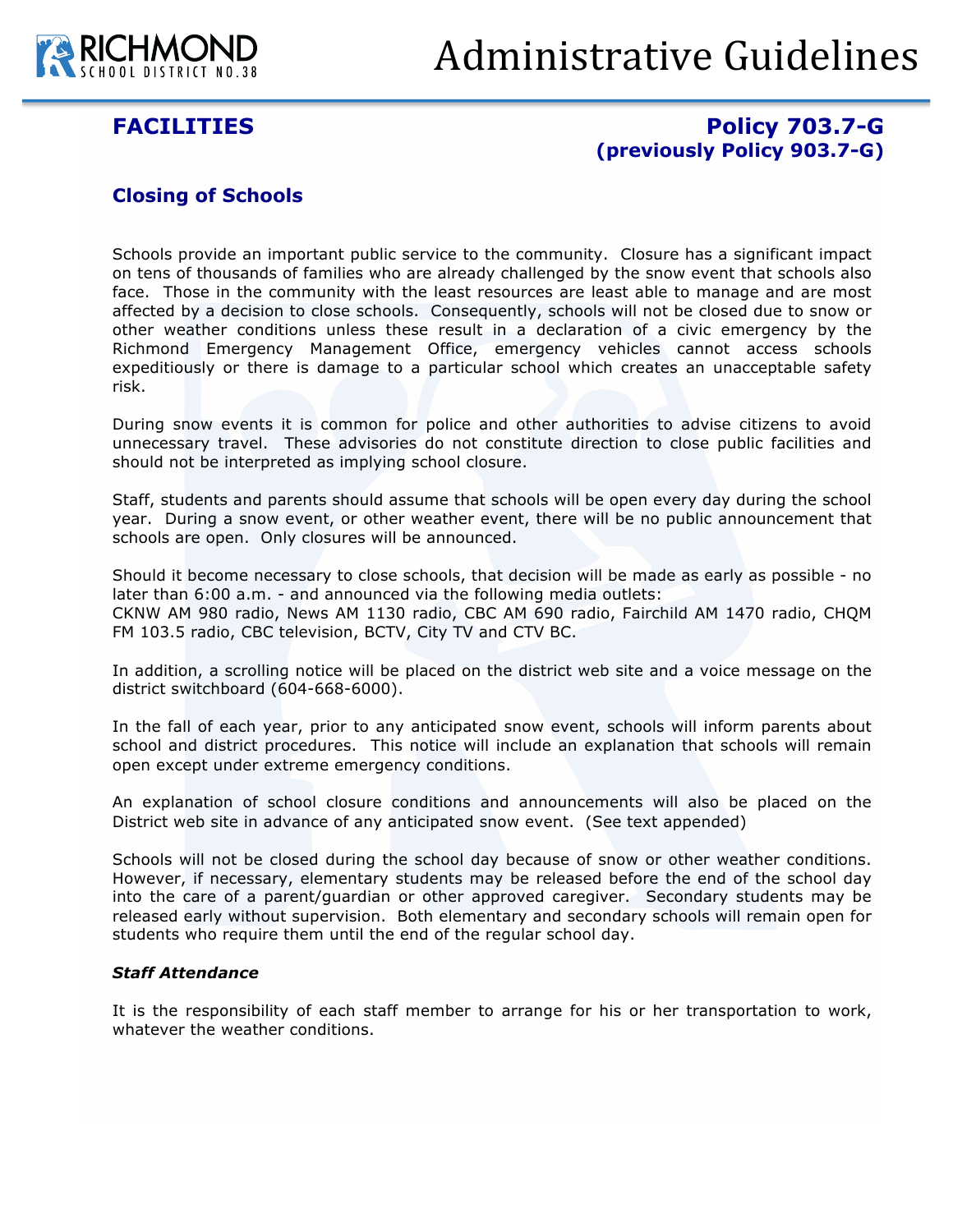

# Administrative Guidelines

# **FACILITIES Policy 703.7-G (previously Policy 903.7-G)**

## **Closing of Schools**

Schools provide an important public service to the community. Closure has a significant impact on tens of thousands of families who are already challenged by the snow event that schools also face. Those in the community with the least resources are least able to manage and are most affected by a decision to close schools. Consequently, schools will not be closed due to snow or other weather conditions unless these result in a declaration of a civic emergency by the Richmond Emergency Management Office, emergency vehicles cannot access schools expeditiously or there is damage to a particular school which creates an unacceptable safety risk.

During snow events it is common for police and other authorities to advise citizens to avoid unnecessary travel. These advisories do not constitute direction to close public facilities and should not be interpreted as implying school closure.

Staff, students and parents should assume that schools will be open every day during the school year. During a snow event, or other weather event, there will be no public announcement that schools are open. Only closures will be announced.

Should it become necessary to close schools, that decision will be made as early as possible - no later than 6:00 a.m. - and announced via the following media outlets: CKNW AM 980 radio, News AM 1130 radio, CBC AM 690 radio, Fairchild AM 1470 radio, CHQM FM 103.5 radio, CBC television, BCTV, City TV and CTV BC.

In addition, a scrolling notice will be placed on the district web site and a voice message on the district switchboard (604-668-6000).

In the fall of each year, prior to any anticipated snow event, schools will inform parents about school and district procedures. This notice will include an explanation that schools will remain open except under extreme emergency conditions.

An explanation of school closure conditions and announcements will also be placed on the District web site in advance of any anticipated snow event. (See text appended)

Schools will not be closed during the school day because of snow or other weather conditions. However, if necessary, elementary students may be released before the end of the school day into the care of a parent/guardian or other approved caregiver. Secondary students may be released early without supervision. Both elementary and secondary schools will remain open for students who require them until the end of the regular school day.

### *Staff Attendance*

It is the responsibility of each staff member to arrange for his or her transportation to work, whatever the weather conditions.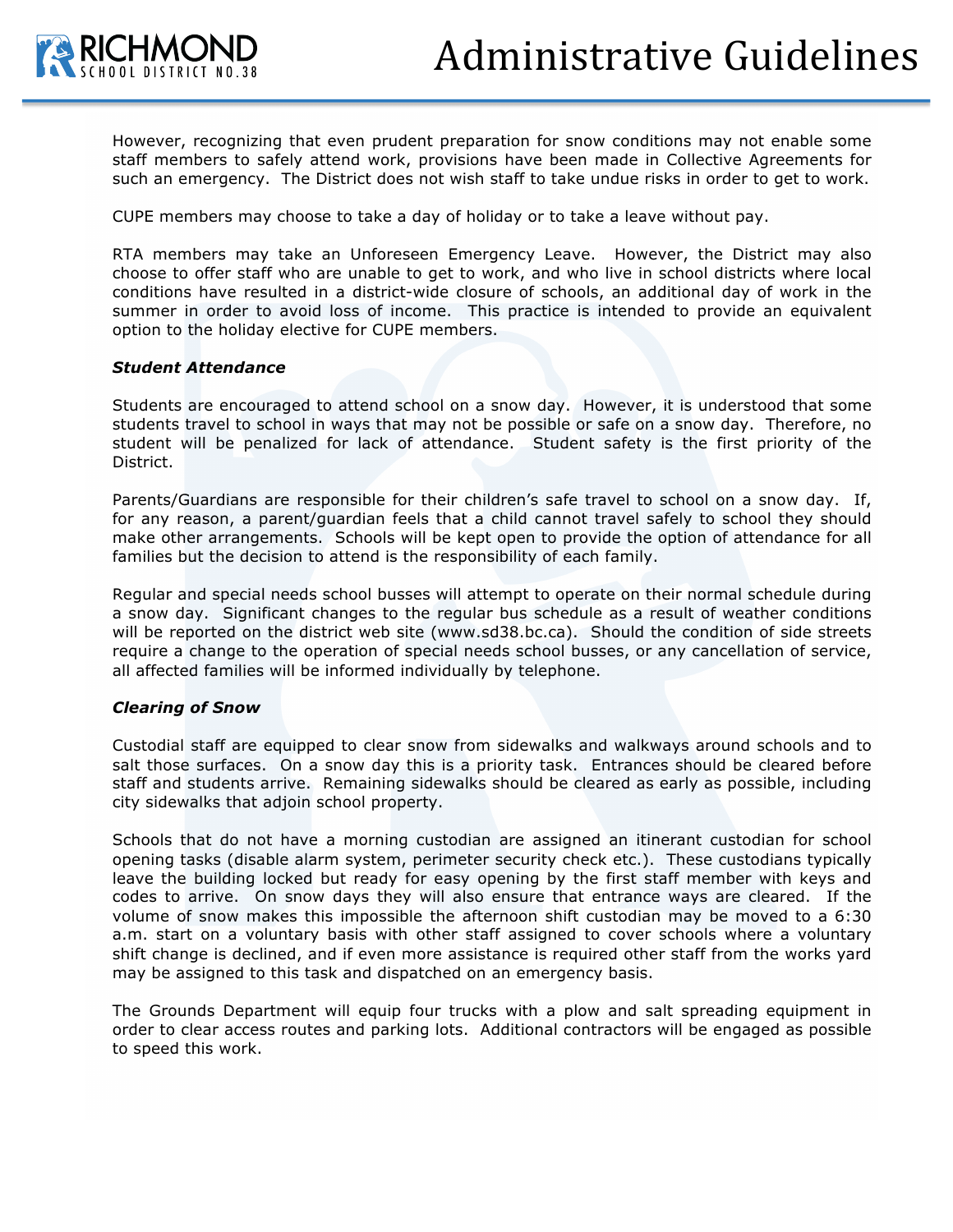

However, recognizing that even prudent preparation for snow conditions may not enable some staff members to safely attend work, provisions have been made in Collective Agreements for such an emergency. The District does not wish staff to take undue risks in order to get to work.

CUPE members may choose to take a day of holiday or to take a leave without pay.

RTA members may take an Unforeseen Emergency Leave. However, the District may also choose to offer staff who are unable to get to work, and who live in school districts where local conditions have resulted in a district-wide closure of schools, an additional day of work in the summer in order to avoid loss of income. This practice is intended to provide an equivalent option to the holiday elective for CUPE members.

#### *Student Attendance*

Students are encouraged to attend school on a snow day. However, it is understood that some students travel to school in ways that may not be possible or safe on a snow day. Therefore, no student will be penalized for lack of attendance. Student safety is the first priority of the District.

Parents/Guardians are responsible for their children's safe travel to school on a snow day. If, for any reason, a parent/guardian feels that a child cannot travel safely to school they should make other arrangements. Schools will be kept open to provide the option of attendance for all families but the decision to attend is the responsibility of each family.

Regular and special needs school busses will attempt to operate on their normal schedule during a snow day. Significant changes to the regular bus schedule as a result of weather conditions will be reported on the district web site (www.sd38.bc.ca). Should the condition of side streets require a change to the operation of special needs school busses, or any cancellation of service, all affected families will be informed individually by telephone.

### *Clearing of Snow*

Custodial staff are equipped to clear snow from sidewalks and walkways around schools and to salt those surfaces. On a snow day this is a priority task. Entrances should be cleared before staff and students arrive. Remaining sidewalks should be cleared as early as possible, including city sidewalks that adjoin school property.

Schools that do not have a morning custodian are assigned an itinerant custodian for school opening tasks (disable alarm system, perimeter security check etc.). These custodians typically leave the building locked but ready for easy opening by the first staff member with keys and codes to arrive. On snow days they will also ensure that entrance ways are cleared. If the volume of snow makes this impossible the afternoon shift custodian may be moved to a 6:30 a.m. start on a voluntary basis with other staff assigned to cover schools where a voluntary shift change is declined, and if even more assistance is required other staff from the works yard may be assigned to this task and dispatched on an emergency basis.

The Grounds Department will equip four trucks with a plow and salt spreading equipment in order to clear access routes and parking lots. Additional contractors will be engaged as possible to speed this work.